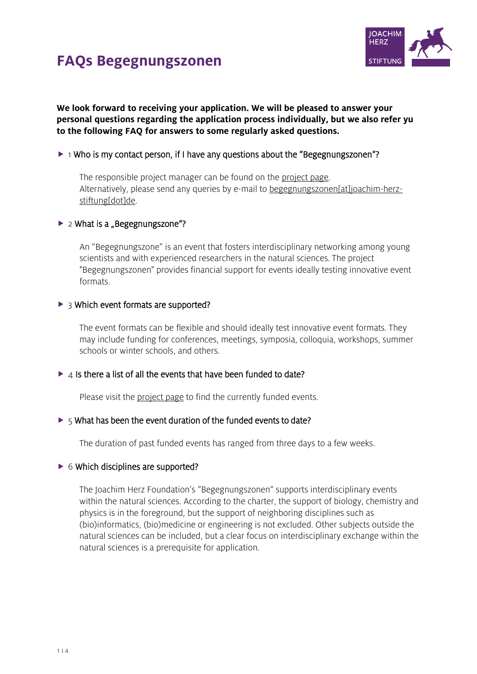



**We look forward to receiving your application. We will be pleased to answer your personal questions regarding the application process individually, but we also refer yu to the following FAQ for answers to some regularly asked questions.** 

#### $\triangleright$  1 Who is my contact person, if I have any questions about the "Begegnungszonen"?

The responsible project manager can be found on the [project page.](https://www.joachim-herz-stiftung.de/en/what-we-do/projects-for-understanding-science/interdisciplinary-networks-for-talented-young-scientists/begegnungszonen/) Alternatively, please send any queries by e-mail to [begegnungszonen\[at\]joachim-herz](mailto:begegnungszonen@joachim-herz-stiftung.de)[stiftung\[dot\]de.](mailto:begegnungszonen@joachim-herz-stiftung.de)

#### $\blacktriangleright$  2 What is a "Begegnungszone"?

An "Begegnungszone" is an event that fosters interdisciplinary networking among young scientists and with experienced researchers in the natural sciences. The project "Begegnungszonen" provides financial support for events ideally testing innovative event formats.

#### $\triangleright$  3 Which event formats are supported?

The event formats can be flexible and should ideally test innovative event formats. They may include funding for conferences, meetings, symposia, colloquia, workshops, summer schools or winter schools, and others.

#### $\blacktriangleright$  4 Is there a list of all the events that have been funded to date?

Please visit the [project page](https://www.joachim-herz-stiftung.de/en/what-we-do/projects-for-understanding-science/interdisciplinary-networks-for-talented-young-scientists/begegnungszonen/) to find the currently funded events.

#### $\triangleright$  5 What has been the event duration of the funded events to date?

The duration of past funded events has ranged from three days to a few weeks.

#### $\triangleright$  6 Which disciplines are supported?

The Joachim Herz Foundation's "Begegnungszonen" supports interdisciplinary events within the natural sciences. According to the charter, the support of biology, chemistry and physics is in the foreground, but the support of neighboring disciplines such as (bio)informatics, (bio)medicine or engineering is not excluded. Other subjects outside the natural sciences can be included, but a clear focus on interdisciplinary exchange within the natural sciences is a prerequisite for application.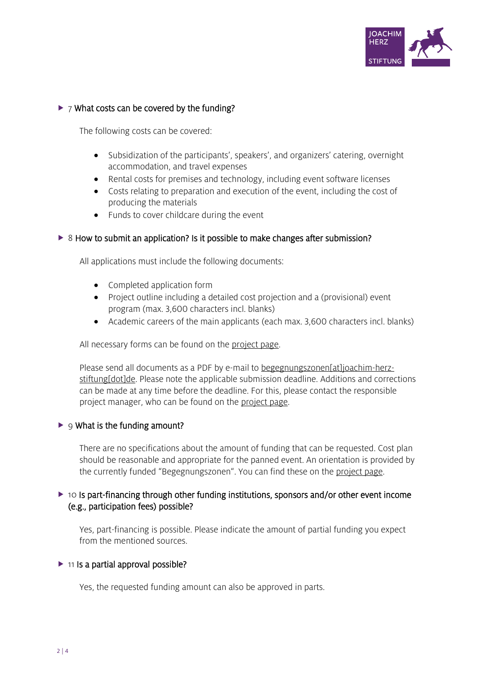

## $\triangleright$  7 What costs can be covered by the funding?

The following costs can be covered:

- Subsidization of the participants', speakers', and organizers' catering, overnight accommodation, and travel expenses
- Rental costs for premises and technology, including event software licenses
- Costs relating to preparation and execution of the event, including the cost of producing the materials
- Funds to cover childcare during the event

### ▶ 8 How to submit an application? Is it possible to make changes after submission?

All applications must include the following documents:

- Completed application form
- Project outline including a detailed cost projection and a (provisional) event program (max. 3,600 characters incl. blanks)
- Academic careers of the main applicants (each max. 3,600 characters incl. blanks)

All necessary forms can be found on the [project page.](https://www.joachim-herz-stiftung.de/en/what-we-do/projects-for-understanding-science/interdisciplinary-networks-for-talented-young-scientists/begegnungszonen/)

Please send all documents as a PDF by e-mail to [begegnungszonen\[at\]joachim-herz](mailto:begegnungszonen@joachim-herz-stiftung.de)[stiftung\[dot\]de.](mailto:begegnungszonen@joachim-herz-stiftung.de) Please note the applicable submission deadline. Additions and corrections can be made at any time before the deadline. For this, please contact the responsible project manager, who can be found on the [project page.](https://www.joachim-herz-stiftung.de/en/what-we-do/projects-for-understanding-science/interdisciplinary-networks-for-talented-young-scientists/begegnungszonen/)

#### $\blacktriangleright$  9 What is the funding amount?

There are no specifications about the amount of funding that can be requested. Cost plan should be reasonable and appropriate for the panned event. An orientation is provided by the currently funded "Begegnungszonen". You can find these on the [project page.](https://www.joachim-herz-stiftung.de/en/what-we-do/projects-for-understanding-science/interdisciplinary-networks-for-talented-young-scientists/begegnungszonen/)

## ▶ 10 Is part-financing through other funding institutions, sponsors and/or other event income (e.g., participation fees) possible?

Yes, part-financing is possible. Please indicate the amount of partial funding you expect from the mentioned sources.

#### $\triangleright$  11 Is a partial approval possible?

Yes, the requested funding amount can also be approved in parts.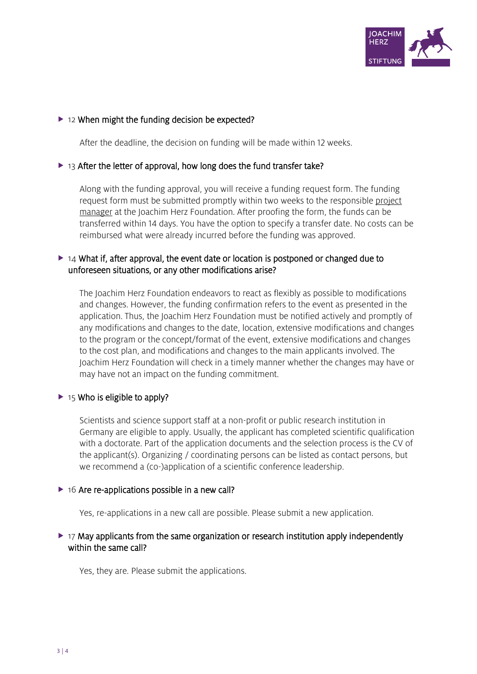

### $\triangleright$  12 When might the funding decision be expected?

After the deadline, the decision on funding will be made within 12 weeks.

### $\triangleright$  13 After the letter of approval, how long does the fund transfer take?

Along with the funding approval, you will receive a funding request form. The funding request form must be submitted promptly within two weeks to the responsible project [manager](https://www.joachim-herz-stiftung.de/en/what-we-do/projects-for-understanding-science/interdisciplinary-networks-for-talented-young-scientists/begegnungszonen/) at the Joachim Herz Foundation. After proofing the form, the funds can be transferred within 14 days. You have the option to specify a transfer date. No costs can be reimbursed what were already incurred before the funding was approved.

## $\triangleright$  14 What if, after approval, the event date or location is postponed or changed due to unforeseen situations, or any other modifications arise?

The Joachim Herz Foundation endeavors to react as flexibly as possible to modifications and changes. However, the funding confirmation refers to the event as presented in the application. Thus, the Joachim Herz Foundation must be notified actively and promptly of any modifications and changes to the date, location, extensive modifications and changes to the program or the concept/format of the event, extensive modifications and changes to the cost plan, and modifications and changes to the main applicants involved. The Joachim Herz Foundation will check in a timely manner whether the changes may have or may have not an impact on the funding commitment.

#### $\triangleright$  15 Who is eligible to apply?

Scientists and science support staff at a non-profit or public research institution in Germany are eligible to apply. Usually, the applicant has completed scientific qualification with a doctorate. Part of the application documents and the selection process is the CV of the applicant(s). Organizing / coordinating persons can be listed as contact persons, but we recommend a (co-)application of a scientific conference leadership.

#### $\triangleright$  16 Are re-applications possible in a new call?

Yes, re-applications in a new call are possible. Please submit a new application.

## $\triangleright$  17 May applicants from the same organization or research institution apply independently within the same call?

Yes, they are. Please submit the applications.